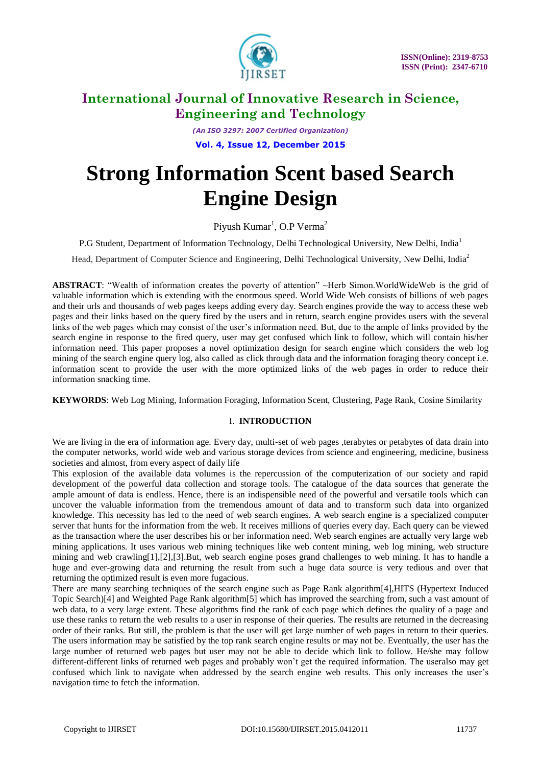

*(An ISO 3297: 2007 Certified Organization)* **Vol. 4, Issue 12, December 2015**

# **Strong Information Scent based Search Engine Design**

Piyush Kumar<sup>1</sup>, O.P Verma<sup>2</sup>

P.G Student, Department of Information Technology, Delhi Technological University, New Delhi, India<sup>1</sup>

Head, Department of Computer Science and Engineering, Delhi Technological University, New Delhi, India<sup>2</sup>

**ABSTRACT:** "Wealth of information creates the poverty of attention" ~Herb Simon.WorldWideWeb is the grid of valuable information which is extending with the enormous speed. World Wide Web consists of billions of web pages and their urls and thousands of web pages keeps adding every day. Search engines provide the way to access these web pages and their links based on the query fired by the users and in return, search engine provides users with the several links of the web pages which may consist of the user's information need. But, due to the ample of links provided by the search engine in response to the fired query, user may get confused which link to follow, which will contain his/her information need. This paper proposes a novel optimization design for search engine which considers the web log mining of the search engine query log, also called as click through data and the information foraging theory concept i.e. information scent to provide the user with the more optimized links of the web pages in order to reduce their information snacking time.

**KEYWORDS**: Web Log Mining, Information Foraging, Information Scent, Clustering, Page Rank, Cosine Similarity

### I. **INTRODUCTION**

We are living in the era of information age. Every day, multi-set of web pages ,terabytes or petabytes of data drain into the computer networks, world wide web and various storage devices from science and engineering, medicine, business societies and almost, from every aspect of daily life

This explosion of the available data volumes is the repercussion of the computerization of our society and rapid development of the powerful data collection and storage tools. The catalogue of the data sources that generate the ample amount of data is endless. Hence, there is an indispensible need of the powerful and versatile tools which can uncover the valuable information from the tremendous amount of data and to transform such data into organized knowledge. This necessity has led to the need of web search engines. A web search engine is a specialized computer server that hunts for the information from the web. It receives millions of queries every day. Each query can be viewed as the transaction where the user describes his or her information need. Web search engines are actually very large web mining applications. It uses various web mining techniques like web content mining, web log mining, web structure mining and web crawling[1],[2],[3].But, web search engine poses grand challenges to web mining. It has to handle a huge and ever-growing data and returning the result from such a huge data source is very tedious and over that returning the optimized result is even more fugacious.

There are many searching techniques of the search engine such as Page Rank algorithm[4],HITS (Hypertext Induced Topic Search)[4] and Weighted Page Rank algorithm[5] which has improved the searching from, such a vast amount of web data, to a very large extent. These algorithms find the rank of each page which defines the quality of a page and use these ranks to return the web results to a user in response of their queries. The results are returned in the decreasing order of their ranks. But still, the problem is that the user will get large number of web pages in return to their queries. The users information may be satisfied by the top rank search engine results or may not be. Eventually, the user has the large number of returned web pages but user may not be able to decide which link to follow. He/she may follow different-different links of returned web pages and probably won"t get the required information. The useralso may get confused which link to navigate when addressed by the search engine web results. This only increases the user"s navigation time to fetch the information.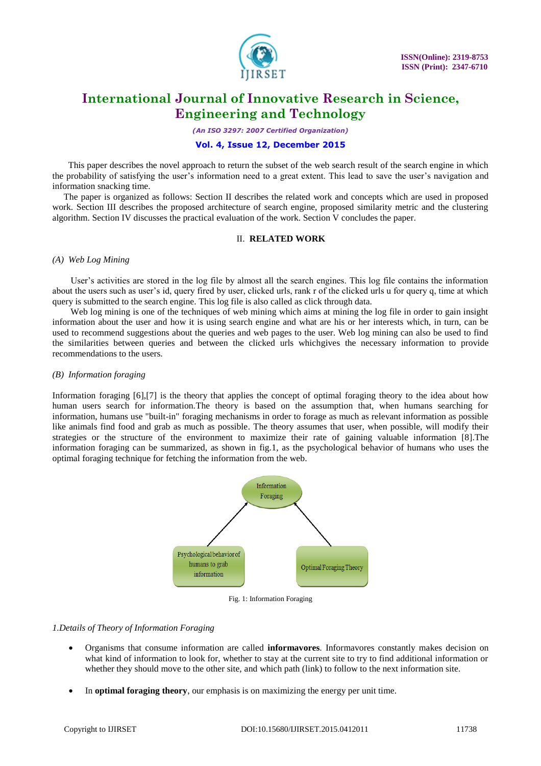

*(An ISO 3297: 2007 Certified Organization)*

#### **Vol. 4, Issue 12, December 2015**

 This paper describes the novel approach to return the subset of the web search result of the search engine in which the probability of satisfying the user"s information need to a great extent. This lead to save the user"s navigation and information snacking time.

 The paper is organized as follows: Section II describes the related work and concepts which are used in proposed work. Section III describes the proposed architecture of search engine, proposed similarity metric and the clustering algorithm. Section IV discusses the practical evaluation of the work. Section V concludes the paper.

#### II. **RELATED WORK**

#### *(A) Web Log Mining*

 User"s activities are stored in the log file by almost all the search engines. This log file contains the information about the users such as user"s id, query fired by user, clicked urls, rank r of the clicked urls u for query q, time at which query is submitted to the search engine. This log file is also called as click through data.

Web log mining is one of the techniques of web mining which aims at mining the log file in order to gain insight information about the user and how it is using search engine and what are his or her interests which, in turn, can be used to recommend suggestions about the queries and web pages to the user. Web log mining can also be used to find the similarities between queries and between the clicked urls whichgives the necessary information to provide recommendations to the users.

#### *(B) Information foraging*

Information foraging [6],[7] is the theory that applies the concept of optimal foraging theory to the idea about how human users search for information.The theory is based on the assumption that, when humans searching for information, humans use "built-in" foraging mechanisms in order to forage as much as relevant information as possible like animals find food and grab as much as possible. The theory assumes that user, when possible, will modify their strategies or the structure of the environment to maximize their rate of gaining valuable information [8].The information foraging can be summarized, as shown in fig.1, as the psychological behavior of humans who uses the optimal foraging technique for fetching the information from the web.



Fig. 1: Information Foraging

#### *1.Details of Theory of Information Foraging*

- Organisms that consume information are called **informavores**. Informavores constantly makes decision on what kind of information to look for, whether to stay at the current site to try to find additional information or whether they should move to the other site, and which path (link) to follow to the next information site.
- In **optimal foraging theory**, our emphasis is on maximizing the energy per unit time.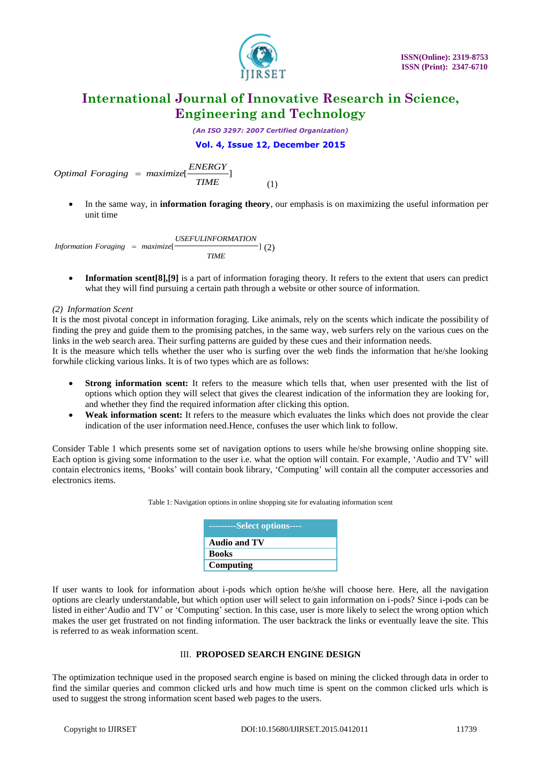

*(An ISO 3297: 2007 Certified Organization)*

**Vol. 4, Issue 12, December 2015**

*Commal Foraging = maximize*  $\frac{ENERGY}{TIME}$  $=$ (1)

 In the same way, in **information foraging theory**, our emphasis is on maximizing the useful information per unit time

*Information Foraging = maximize*[ $\frac{USEFULINFORMATION}{]} (2)$ ] *USEFULINFORMATION TIME*

 **Information scent[8],[9]** is a part of information foraging theory. It refers to the extent that users can predict what they will find pursuing a certain path through a website or other source of information.

*(2) Information Scent*

It is the most pivotal concept in information foraging. Like animals, rely on the scents which indicate the possibility of finding the prey and guide them to the promising patches, in the same way, web surfers rely on the various cues on the links in the web search area. Their surfing patterns are guided by these cues and their information needs. It is the measure which tells whether the user who is surfing over the web finds the information that he/she looking forwhile clicking various links. It is of two types which are as follows:

- **Strong information scent:** It refers to the measure which tells that, when user presented with the list of options which option they will select that gives the clearest indication of the information they are looking for, and whether they find the required information after clicking this option.
- **Weak information scent:** It refers to the measure which evaluates the links which does not provide the clear indication of the user information need.Hence, confuses the user which link to follow.

Consider Table 1 which presents some set of navigation options to users while he/she browsing online shopping site. Each option is giving some information to the user i.e. what the option will contain. For example, "Audio and TV" will contain electronics items, "Books" will contain book library, "Computing" will contain all the computer accessories and electronics items.

| Table 1: Navigation options in online shopping site for evaluating information scent |
|--------------------------------------------------------------------------------------|
|--------------------------------------------------------------------------------------|

| ----------Select options---- |
|------------------------------|
| <b>Audio and TV</b>          |
| <b>Books</b>                 |
| Computing                    |

oftend *Fronging* = mectarized  $\frac{E N E N E T}{11116}$  (1)<br>
• In the same way, in informalism forenigg theory, car emphasis is to maximizing the useful information<br>
until time<br>
smaller transmission ( $\frac{E k E T E N E N E T}{1116}$ ) ( $\frac$ If user wants to look for information about i-pods which option he/she will choose here. Here, all the navigation options are clearly understandable, but which option user will select to gain information on i-pods? Since i-pods can be listed in either Audio and TV' or 'Computing' section. In this case, user is more likely to select the wrong option which makes the user get frustrated on not finding information. The user backtrack the links or eventually leave the site. This is referred to as weak information scent.

#### III. **PROPOSED SEARCH ENGINE DESIGN**

The optimization technique used in the proposed search engine is based on mining the clicked through data in order to find the similar queries and common clicked urls and how much time is spent on the common clicked urls which is used to suggest the strong information scent based web pages to the users.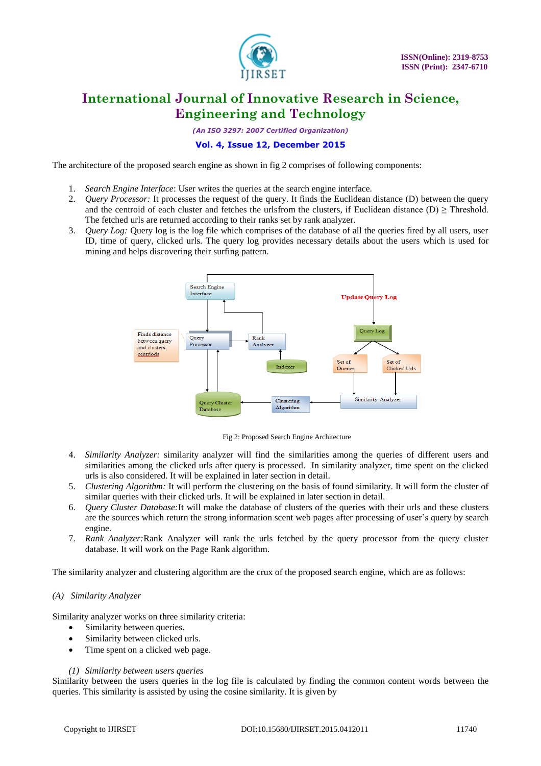

*(An ISO 3297: 2007 Certified Organization)*

### **Vol. 4, Issue 12, December 2015**

The architecture of the proposed search engine as shown in fig 2 comprises of following components:

- 1. *Search Engine Interface*: User writes the queries at the search engine interface.
- 2. *Query Processor:* It processes the request of the query. It finds the Euclidean distance (D) between the query and the centroid of each cluster and fetches the urlsfrom the clusters, if Euclidean distance (D)  $\geq$  Threshold. The fetched urls are returned according to their ranks set by rank analyzer.
- 3. *Query Log:* Query log is the log file which comprises of the database of all the queries fired by all users, user ID, time of query, clicked urls. The query log provides necessary details about the users which is used for mining and helps discovering their surfing pattern.



Fig 2: Proposed Search Engine Architecture

- 4. *Similarity Analyzer:* similarity analyzer will find the similarities among the queries of different users and similarities among the clicked urls after query is processed. In similarity analyzer, time spent on the clicked urls is also considered. It will be explained in later section in detail.
- 5. *Clustering Algorithm:* It will perform the clustering on the basis of found similarity. It will form the cluster of similar queries with their clicked urls. It will be explained in later section in detail.
- 6. *Query Cluster Database:*It will make the database of clusters of the queries with their urls and these clusters are the sources which return the strong information scent web pages after processing of user"s query by search engine.
- 7. *Rank Analyzer:*Rank Analyzer will rank the urls fetched by the query processor from the query cluster database. It will work on the Page Rank algorithm.

The similarity analyzer and clustering algorithm are the crux of the proposed search engine, which are as follows:

#### *(A) Similarity Analyzer*

Similarity analyzer works on three similarity criteria:

- Similarity between queries.
- Similarity between clicked urls.
- Time spent on a clicked web page.

#### *(1) Similarity between users queries*

Similarity between the users queries in the log file is calculated by finding the common content words between the queries. This similarity is assisted by using the cosine similarity. It is given by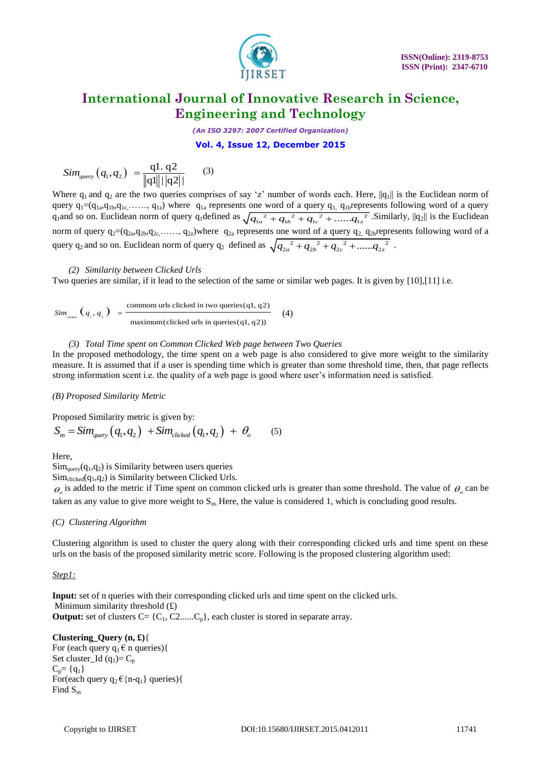

*(An ISO 3297: 2007 Certified Organization)*

**Vol. 4, Issue 12, December 2015**

$$
Sim_{query}(q_1, q_2) = \frac{q1. q2}{\|q1\| |\cdot |q2|}
$$
 (3)

Stor<sub>pers</sub>  $(q_1, q_2) = \frac{q_1 + q_2 - q_3}{q_1 + q_2}$  (3)<br>
Strongers (and the computers computers of some size of such a bottom in the internal of the stress<br>
error of  $q_1 - q_2$  (a.g., a.g., b) which is a computer of some of a ga Where  $q_1$  and  $q_2$  are the two queries comprises of say 'z' number of words each. Here,  $||q_1||$  is the Euclidean norm of query  $q_1 = (q_{1a}, q_{1b}, q_{1c}, \ldots, q_{1z})$  where  $q_{1a}$  represents one word of a query  $q_1$ ,  $q_{1b}$ represents following word of a query query  $q_1 = (q_{1a}, q_{1b}, q_{1c}, \ldots, q_{1z})$  where  $q_{1a}$  represents one word of a query  $q_1$ ,  $q_{1b}$  represents following word of a query  $q_1$  and so on. Euclidean norm of query  $q_1$  defined as  $\sqrt{{q_{1a}}^2 + {q_{1b}}^2 + {q_{1c}}^$ norm of query  $q_2=(q_{2a},q_{2b},q_{2c},\ldots, q_{2z})$ where  $q_{2a}$  represents one word of a query  $q_2$ ,  $q_{2b}$ represents following word of a horm of query  $q_2$ - $q_2$ <sub>a</sub>, $q_2$ <sub>b</sub>, $q_2$ <sub>c</sub>,.....,  $q_2$ <sub>z</sub>/where  $q_2$  are presents one word or a query  $q_2$   $q_2$ <sub>b</sub>  $q_2$ <sub>b</sub>  $q_2$ <sub>c</sub>  $q_3$ <sub>b</sub>  $q_2$ <sub>c</sub>  $q_3$ <sub>c</sub>  $q_2$ <sub>2</sub><sup>2</sup>...... $q_2$ <sub>z</sub><sup>2</sup>.

#### *(2) Similarity between Clicked Urls*

Two queries are similar, if it lead to the selection of the same or similar web pages. It is given by [10],[11] i.e.

$$
Sim_{\text{data}}(q_1, q_2) = \frac{\text{common units clicked in two queries} (q1, q2)}{\text{maximum} (clicked urls in queries} (q1, q2))
$$
 (4)

#### *(3) Total Time spent on Common Clicked Web page between Two Queries*

In the proposed methodology, the time spent on a web page is also considered to give more weight to the similarity measure. It is assumed that if a user is spending time which is greater than some threshold time, then, that page reflects strong information scent i.e. the quality of a web page is good where user"s information need is satisfied.

#### *(B) Proposed Similarity Metric*

Proposed Similarity metric is given by:

Proposed Similarity metric is given by:  
\n
$$
S_m = Sim_{query}(q_1, q_2) + Sim_{clicked}(q_1, q_2) + \theta_o
$$
\n(5)

Here,

 $Sim<sub>query</sub>(q<sub>1</sub>,q<sub>2</sub>)$  is Similarity between users queries

 $Sim_{\rm clicked}(q_1,q_2)$  is Similarity between Clicked Urls.

 $\theta$  is added to the metric if Time spent on common clicked urls is greater than some threshold. The value of  $\theta$  can be taken as any value to give more weight to  $S_m$ . Here, the value is considered 1, which is concluding good results.

#### *(C) Clustering Algorithm*

Clustering algorithm is used to cluster the query along with their corresponding clicked urls and time spent on these urls on the basis of the proposed similarity metric score. Following is the proposed clustering algorithm used:

#### *Step1:*

**Input:** set of n queries with their corresponding clicked urls and time spent on the clicked urls. Minimum similarity threshold  $(E)$ **Output:** set of clusters  $C = \{C_1, C_2, \ldots, C_p\}$ , each cluster is stored in separate array.

#### **Clustering\_Query (n, £)**{

For (each query  $q_1 \in n$  queries){ Set cluster\_Id  $(q_1)=C_p$  $C_p = \{q_1\}$ For(each query  $q_2 \in \{n-q_1\}$  queries){ Find  $S_m$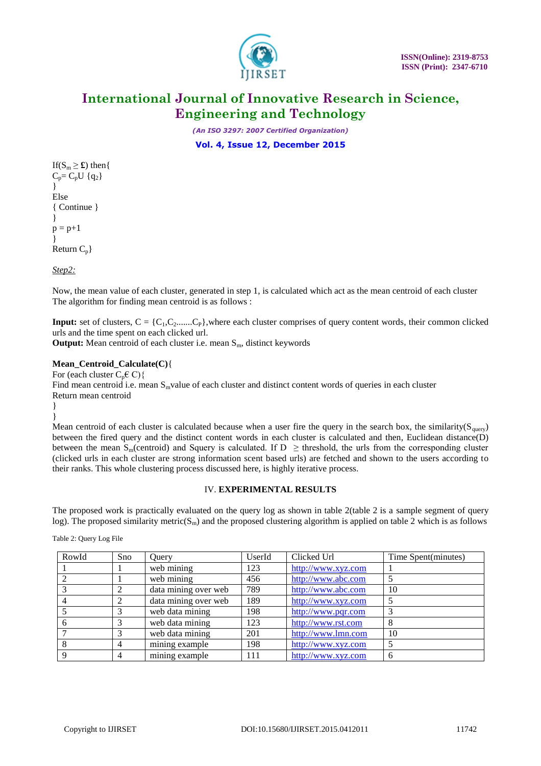

*(An ISO 3297: 2007 Certified Organization)*

**Vol. 4, Issue 12, December 2015**

If( $S_m \geq \mathbf{f}$ ) then{  $C_p = C_p U$  {q<sub>2</sub>} } Else { Continue } }  $p = p+1$ } Return  $C_p$ }

*Step2:*

Now, the mean value of each cluster, generated in step 1, is calculated which act as the mean centroid of each cluster The algorithm for finding mean centroid is as follows :

**Input:** set of clusters,  $C = \{C_1, C_2, \ldots, C_P\}$ , where each cluster comprises of query content words, their common clicked urls and the time spent on each clicked url.

**Output:** Mean centroid of each cluster i.e. mean  $S_m$ , distinct keywords

#### **Mean\_Centroid\_Calculate(C)**{

For (each cluster  $C_p \in C$ ) { Find mean centroid i.e. mean  $S_m$  value of each cluster and distinct content words of queries in each cluster Return mean centroid }

}

Mean centroid of each cluster is calculated because when a user fire the query in the search box, the similarity( $S<sub>query</sub>$ ) between the fired query and the distinct content words in each cluster is calculated and then, Euclidean distance(D) between the mean S<sub>m</sub>(centroid) and Squery is calculated. If  $D \geq$  threshold, the urls from the corresponding cluster (clicked urls in each cluster are strong information scent based urls) are fetched and shown to the users according to their ranks. This whole clustering process discussed here, is highly iterative process.

#### IV. **EXPERIMENTAL RESULTS**

The proposed work is practically evaluated on the query log as shown in table 2(table 2 is a sample segment of query log). The proposed similarity metric( $S<sub>m</sub>$ ) and the proposed clustering algorithm is applied on table 2 which is as follows

Table 2: Query Log File

| RowId | Sno | Query                           | UserId | Clicked Url        | Time Spent(minutes) |
|-------|-----|---------------------------------|--------|--------------------|---------------------|
|       |     | web mining                      | 123    | http://www.xyz.com |                     |
|       |     | web mining                      | 456    | http://www.abc.com |                     |
|       |     | data mining over web            | 789    | http://www.abc.com | 10                  |
|       |     | data mining over web            | 189    | http://www.xyz.com |                     |
|       |     | web data mining                 | 198    | http://www.pqr.com |                     |
|       |     | web data mining                 | 123    | http://www.rst.com | 8                   |
|       |     | web data mining                 | 201    | http://www.lmn.com | 10                  |
|       | 4   | mining example                  | 198    | http://www.xyz.com |                     |
|       |     | $\overline{\text{min}}$ example | 111    | http://www.xyz.com | 6                   |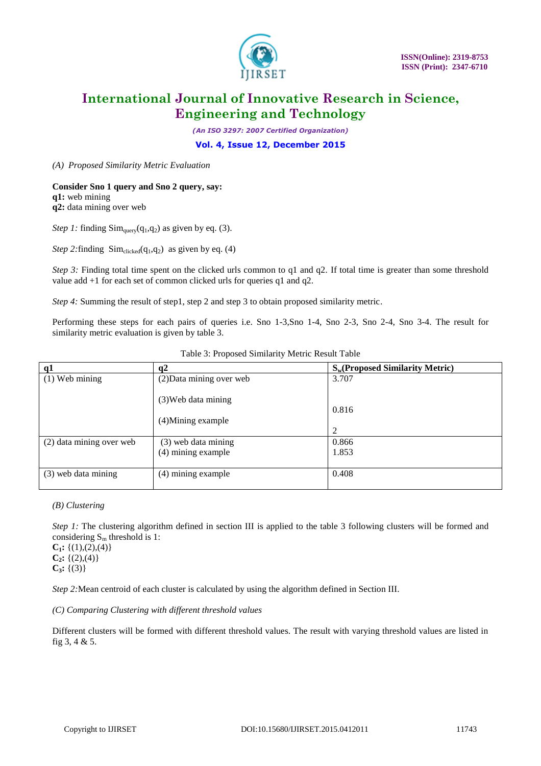

*(An ISO 3297: 2007 Certified Organization)*

**Vol. 4, Issue 12, December 2015**

*(A) Proposed Similarity Metric Evaluation*

#### **Consider Sno 1 query and Sno 2 query, say: q1:** web mining

**q2:** data mining over web

*Step 1:* finding  $Sim_{query}(q_1, q_2)$  as given by eq. (3).

*Step 2:* finding  $Sim_{\rm clicked}(q_1, q_2)$  as given by eq. (4)

*Step 3:* Finding total time spent on the clicked urls common to q1 and q2. If total time is greater than some threshold value add +1 for each set of common clicked urls for queries q1 and q2.

*Step 4:* Summing the result of step1, step 2 and step 3 to obtain proposed similarity metric.

Performing these steps for each pairs of queries i.e. Sno 1-3,Sno 1-4, Sno 2-3, Sno 2-4, Sno 3-4. The result for similarity metric evaluation is given by table 3.

| q1                       | q2                                          | $S_w$ (Proposed Similarity Metric) |
|--------------------------|---------------------------------------------|------------------------------------|
| $(1)$ Web mining         | (2) Data mining over web                    | 3.707                              |
|                          | $(3)$ Web data mining<br>(4) Mining example | 0.816<br>2                         |
| (2) data mining over web | (3) web data mining                         | 0.866                              |
|                          | (4) mining example                          | 1.853                              |
| (3) web data mining      | (4) mining example                          | 0.408                              |

Table 3: Proposed Similarity Metric Result Table

#### *(B) Clustering*

*Step 1:* The clustering algorithm defined in section III is applied to the table 3 following clusters will be formed and considering  $S_m$  threshold is 1:

 $C_1$ **:** {(1),(2),(4)}  $C_2$ **:** {(2),(4)}  $C_3$ **:** {(3)}

*Step 2:*Mean centroid of each cluster is calculated by using the algorithm defined in Section III.

*(C) Comparing Clustering with different threshold values*

Different clusters will be formed with different threshold values. The result with varying threshold values are listed in fig 3, 4 & 5.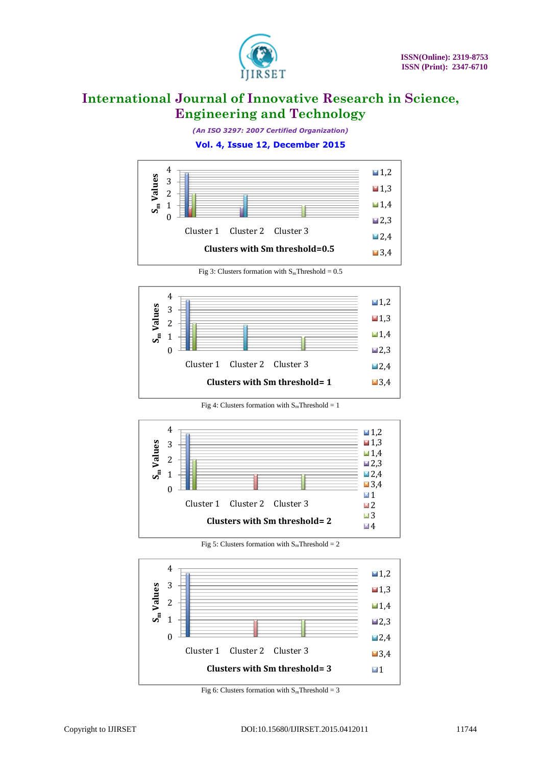

*(An ISO 3297: 2007 Certified Organization)*

#### **Vol. 4, Issue 12, December 2015**



Fig 3: Clusters formation with  $S_m$ Threshold = 0.5



Fig 4: Clusters formation with  $S_m$ Threshold = 1



Fig 5: Clusters formation with  $S_m$ Threshold = 2



Fig 6: Clusters formation with  $S_m$ Threshold = 3